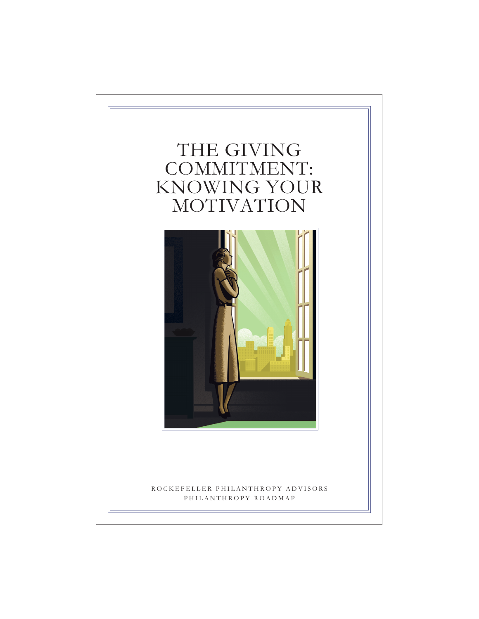# THE GIVING COMMITMENT: KNOWING YOUR MOTIVATION



## ROCKEFELLER PHILANTHROPY ADVISORS PHILANTHROPY ROADMAP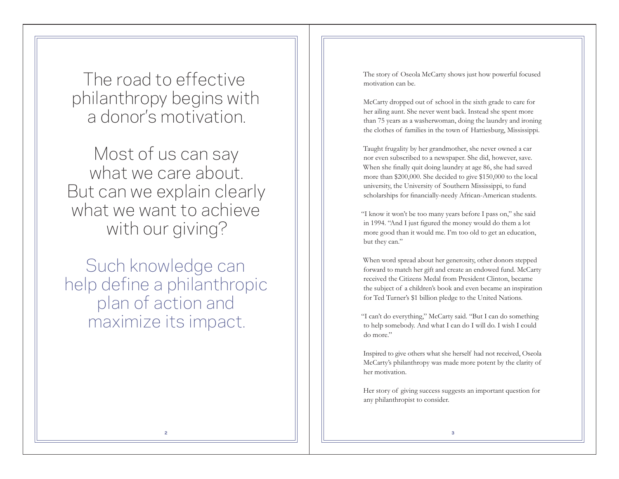The road to effective philanthropy begins with a donor's motivation.

Most of us can say what we care about. But can we explain clearly what we want to achieve with our giving?

Such knowledge can help define a philanthropic plan of action and maximize its impact.

The story of Oseola McCarty shows just how powerful focused motivation can be.

McCarty dropped out of school in the sixth grade to care for her ailing aunt. She never went back. Instead she spent more than 75 years as a washerwoman, doing the laundry and ironing the clothes of families in the town of Hattiesburg, Mississippi.

Taught frugality by her grandmother, she never owned a car nor even subscribed to a newspaper. She did, however, save. When she finally quit doing laundry at age 86, she had saved more than \$200,000. She decided to give \$150,000 to the local university, the University of Southern Mississippi, to fund scholarships for financially-needy African-American students.

"I know it won't be too many years before I pass on," she said in 1994. "And I just figured the money would do them a lot more good than it would me. I'm too old to get an education, but they can."

When word spread about her generosity, other donors stepped forward to match her gift and create an endowed fund. McCarty received the Citizens Medal from President Clinton, became the subject of a children's book and even became an inspiration for Ted Turner's \$1 billion pledge to the United Nations.

"I can't do everything," McCarty said. "But I can do something to help somebody. And what I can do I will do. I wish I could do more."

Inspired to give others what she herself had not received, Oseola McCarty's philanthropy was made more potent by the clarity of her motivation.

Her story of giving success suggests an important question for any philanthropist to consider.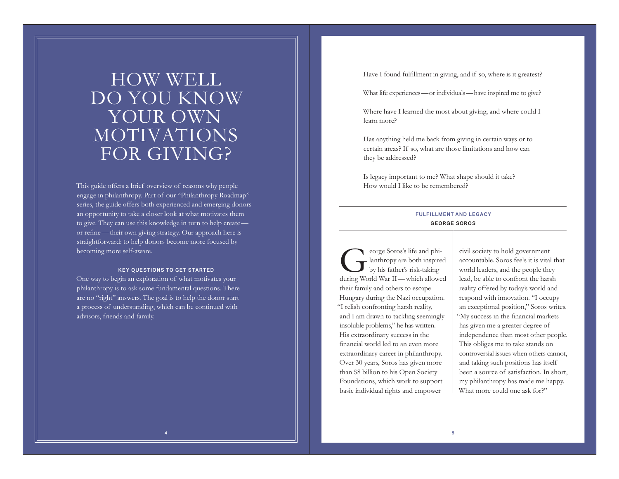# HOW WELL DO YOU KNOW YOUR OWN MOTIVATIONS FOR GIVING?

This guide offers a brief overview of reasons why people engage in philanthropy. Part of our "Philanthropy Roadmap" series, the guide offers both experienced and emerging donors an opportunity to take a closer look at what motivates them to give. They can use this knowledge in turn to help create or refine—their own giving strategy. Our approach here is straightforward: to help donors become more focused by becoming more self-aware.

### **KEY QUESTIONS TO GET STARTED**

One way to begin an exploration of what motivates your philanthropy is to ask some fundamental questions. There are no "right" answers. The goal is to help the donor start a process of understanding, which can be continued with advisors, friends and family.

Have I found fulfillment in giving, and if so, where is it greatest?

What life experiences—or individuals—have inspired me to give?

Where have I learned the most about giving, and where could I learn more?

Has anything held me back from giving in certain ways or to certain areas? If so, what are those limitations and how can they be addressed?

Is legacy important to me? What shape should it take? How would I like to be remembered?

## **FULFILLMENT AND LEGACY GEORGE SOROS**

eorge Soros's life and phi-<br>- lanthropy are both inspired<br>by his father's risk-taking during World War II—which allowed their family and others to escape Hungary during the Nazi occupation. "I relish confronting harsh reality, and I am drawn to tackling seemingly insoluble problems," he has written. His extraordinary success in the financial world led to an even more extraordinary career in philanthropy. Over 30 years, Soros has given more than \$8 billion to his Open Society Foundations, which work to support basic individual rights and empower

civil society to hold government accountable. Soros feels it is vital that world leaders, and the people they lead, be able to confront the harsh reality offered by today's world and respond with innovation. "I occupy an exceptional position," Soros writes. "My success in the financial markets has given me a greater degree of independence than most other people. This obliges me to take stands on controversial issues when others cannot, and taking such positions has itself been a source of satisfaction. In short, my philanthropy has made me happy. What more could one ask for?"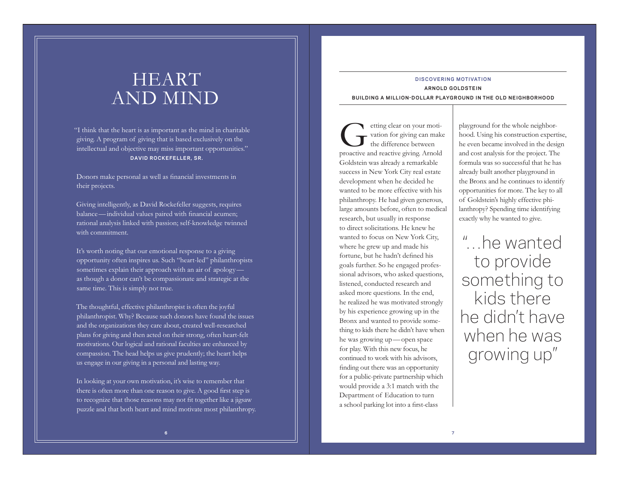# HEART AND MIND

"I think that the heart is as important as the mind in charitable giving. A program of giving that is based exclusively on the intellectual and objective may miss important opportunities." **DAVID ROCKEFELLER, SR.**

Donors make personal as well as financial investments in their projects.

Giving intelligently, as David Rockefeller suggests, requires balance —individual values paired with financial acumen; rational analysis linked with passion; self-knowledge twinned with commitment.

It's worth noting that our emotional response to a giving opportunity often inspires us. Such "heart-led" philanthropists sometimes explain their approach with an air of apology as though a donor can't be compassionate and strategic at the same time. This is simply not true.

The thoughtful, effective philanthropist is often the joyful philanthropist. Why? Because such donors have found the issues and the organizations they care about, created well-researched plans for giving and then acted on their strong, often heart-felt motivations. Our logical and rational faculties are enhanced by compassion. The head helps us give prudently; the heart helps us engage in our giving in a personal and lasting way.

In looking at your own motivation, it's wise to remember that there is often more than one reason to give. A good first step is to recognize that those reasons may not fit together like a jigsaw puzzle and that both heart and mind motivate most philanthropy.

## **DISCOVERING MOTIVATION ARNOLD GOLDSTEIN**

**BUILDING A MILLION-DOLLAR PLAYGROUND IN THE OLD NEIGHBORHOOD**

etting clear on your moti-<br>vation for giving can make<br>the difference between proactive and reactive giving. Arnold Goldstein was already a remarkable success in New York City real estate development when he decided he wanted to be more effective with his philanthropy. He had given generous, large amounts before, often to medical research, but usually in response to direct solicitations. He knew he wanted to focus on New York City, where he grew up and made his fortune, but he hadn't defined his goals further. So he engaged professional advisors, who asked questions, listened, conducted research and asked more questions. In the end, he realized he was motivated strongly by his experience growing up in the Bronx and wanted to provide something to kids there he didn't have when he was growing up —open space for play. With this new focus, he continued to work with his advisors, finding out there was an opportunity for a public-private partnership which would provide a 3:1 match with the Department of Education to turn a school parking lot into a first-class

playground for the whole neighborhood. Using his construction expertise, he even became involved in the design and cost analysis for the project. The formula was so successful that he has already built another playground in the Bronx and he continues to identify opportunities for more. The key to all of Goldstein's highly effective philanthropy? Spending time identifying exactly why he wanted to give.

"…he wanted to provide something to kids there he didn't have when he was growing up"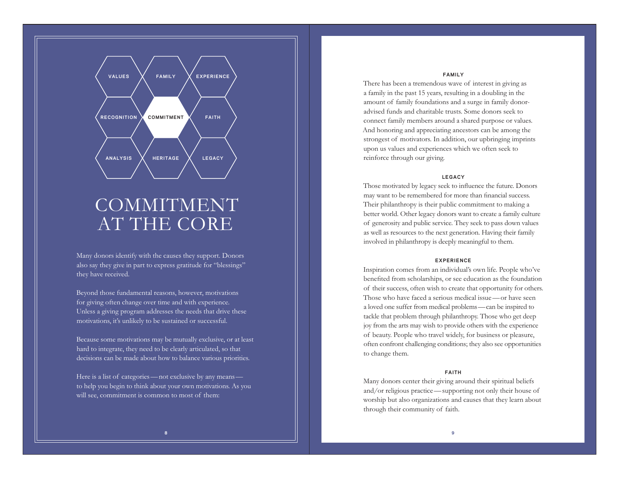

# COMMITMENT AT THE CORE

Many donors identify with the causes they support. Donors also say they give in part to express gratitude for "blessings" they have received.

Beyond those fundamental reasons, however, motivations for giving often change over time and with experience. Unless a giving program addresses the needs that drive these motivations, it's unlikely to be sustained or successful.

Because some motivations may be mutually exclusive, or at least hard to integrate, they need to be clearly articulated, so that decisions can be made about how to balance various priorities.

Here is a list of categories—not exclusive by any means to help you begin to think about your own motivations. As you will see, commitment is common to most of them:

#### **FAMILY**

There has been a tremendous wave of interest in giving as a family in the past 15 years, resulting in a doubling in the amount of family foundations and a surge in family donoradvised funds and charitable trusts. Some donors seek to connect family members around a shared purpose or values. And honoring and appreciating ancestors can be among the strongest of motivators. In addition, our upbringing imprints upon us values and experiences which we often seek to reinforce through our giving.

### **LEGACY**

Those motivated by legacy seek to influence the future. Donors may want to be remembered for more than financial success. Their philanthropy is their public commitment to making a better world. Other legacy donors want to create a family culture of generosity and public service. They seek to pass down values as well as resources to the next generation. Having their family involved in philanthropy is deeply meaningful to them.

### **EXPERIENCE**

Inspiration comes from an individual's own life. People who've benefited from scholarships, or see education as the foundation of their success, often wish to create that opportunity for others. Those who have faced a serious medical issue —or have seen a loved one suffer from medical problems —can be inspired to tackle that problem through philanthropy. Those who get deep joy from the arts may wish to provide others with the experience of beauty. People who travel widely, for business or pleasure, often confront challenging conditions; they also see opportunities to change them.

### **FAITH**

Many donors center their giving around their spiritual beliefs and/or religious practice —supporting not only their house of worship but also organizations and causes that they learn about through their community of faith.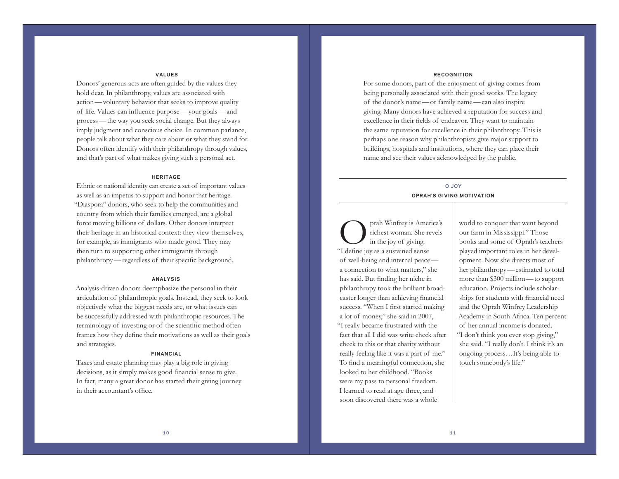### **VALUES**

Donors' generous acts are often guided by the values they hold dear. In philanthropy, values are associated with action—voluntary behavior that seeks to improve quality of life. Values can influence purpose—your goals—and process—the way you seek social change. But they always imply judgment and conscious choice. In common parlance, people talk about what they care about or what they stand for. Donors often identify with their philanthropy through values, and that's part of what makes giving such a personal act.

### **HERITAGE**

Ethnic or national identity can create a set of important values as well as an impetus to support and honor that heritage. "Diaspora" donors, who seek to help the communities and country from which their families emerged, are a global force moving billions of dollars. Other donors interpret their heritage in an historical context: they view themselves, for example, as immigrants who made good. They may then turn to supporting other immigrants through philanthropy—regardless of their specific background.

#### **ANALYSIS**

Analysis-driven donors deemphasize the personal in their articulation of philanthropic goals. Instead, they seek to look objectively what the biggest needs are, or what issues can be successfully addressed with philanthropic resources. The terminology of investing or of the scientific method often frames how they define their motivations as well as their goals and strategies.

#### **FINANCIAL**

Taxes and estate planning may play a big role in giving decisions, as it simply makes good financial sense to give. In fact, many a great donor has started their giving journey in their accountant's office.

#### **RECOGNITION**

For some donors, part of the enjoyment of giving comes from being personally associated with their good works. The legacy of the donor's name—or family name—can also inspire giving. Many donors have achieved a reputation for success and excellence in their fields of endeavor. They want to maintain the same reputation for excellence in their philanthropy. This is perhaps one reason why philanthropists give major support to buildings, hospitals and institutions, where they can place their name and see their values acknowledged by the public.

## **O JOY**  $OPRAH'S$  GIVING MOTIVATION

prah Winfrey is America's<br>richest woman. She revels<br>in the joy of giving. "I define joy as a sustained sense of well-being and internal peace a connection to what matters," she has said. But finding her niche in philanthropy took the brilliant broadcaster longer than achieving financial success. "When I first started making a lot of money," she said in 2007, "I really became frustrated with the fact that all I did was write check after check to this or that charity without really feeling like it was a part of me." To find a meaningful connection, she looked to her childhood. "Books were my pass to personal freedom. I learned to read at age three, and soon discovered there was a whole

world to conquer that went beyond our farm in Mississippi." Those books and some of Oprah's teachers played important roles in her development. Now she directs most of her philanthropy—estimated to total more than \$300 million—to support education. Projects include scholarships for students with financial need and the Oprah Winfrey Leadership Academy in South Africa. Ten percent of her annual income is donated. "I don't think you ever stop giving," she said. "I really don't. I think it's an ongoing process…It's being able to touch somebody's life."